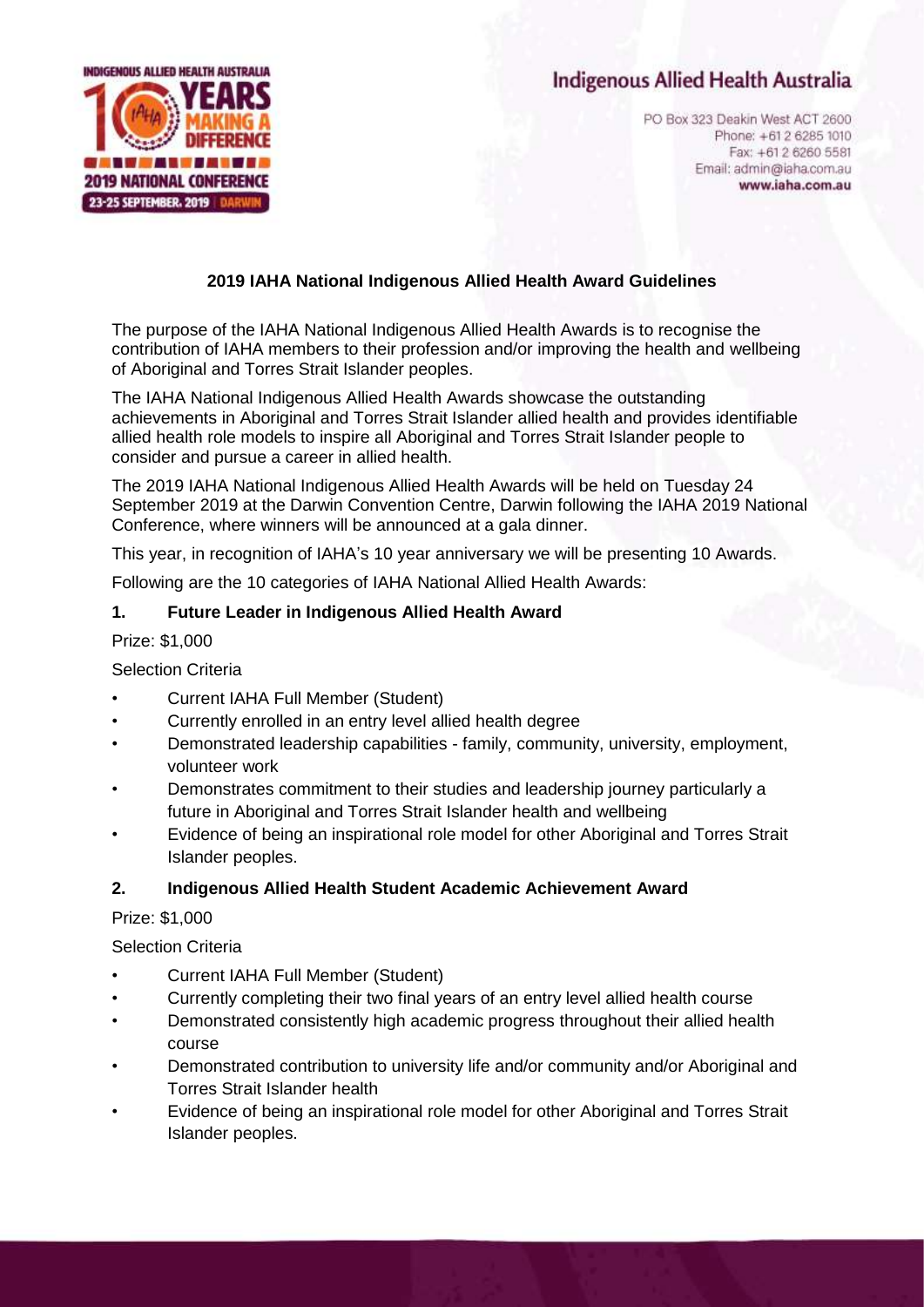# **Indigenous Allied Health Australia**



PO Box 323 Deakin West ACT 2600 Phone: +61 2 6285 1010 Fax: +61 2 6260 5581 Email: admin@iaha.com.au www.iaha.com.au

### **2019 IAHA National Indigenous Allied Health Award Guidelines**

The purpose of the IAHA National Indigenous Allied Health Awards is to recognise the contribution of IAHA members to their profession and/or improving the health and wellbeing of Aboriginal and Torres Strait Islander peoples.

The IAHA National Indigenous Allied Health Awards showcase the outstanding achievements in Aboriginal and Torres Strait Islander allied health and provides identifiable allied health role models to inspire all Aboriginal and Torres Strait Islander people to consider and pursue a career in allied health.

The 2019 IAHA National Indigenous Allied Health Awards will be held on Tuesday 24 September 2019 at the Darwin Convention Centre, Darwin following the IAHA 2019 National Conference, where winners will be announced at a gala dinner.

This year, in recognition of IAHA's 10 year anniversary we will be presenting 10 Awards.

Following are the 10 categories of IAHA National Allied Health Awards:

#### **1. Future Leader in Indigenous Allied Health Award**

Prize: \$1,000

#### Selection Criteria

- Current IAHA Full Member (Student)
- Currently enrolled in an entry level allied health degree
- Demonstrated leadership capabilities family, community, university, employment, volunteer work
- Demonstrates commitment to their studies and leadership journey particularly a future in Aboriginal and Torres Strait Islander health and wellbeing
- Evidence of being an inspirational role model for other Aboriginal and Torres Strait Islander peoples.

#### **2. Indigenous Allied Health Student Academic Achievement Award**

#### Prize: \$1,000

#### Selection Criteria

- Current IAHA Full Member (Student)
- Currently completing their two final years of an entry level allied health course
- Demonstrated consistently high academic progress throughout their allied health course
- Demonstrated contribution to university life and/or community and/or Aboriginal and Torres Strait Islander health
- Evidence of being an inspirational role model for other Aboriginal and Torres Strait Islander peoples.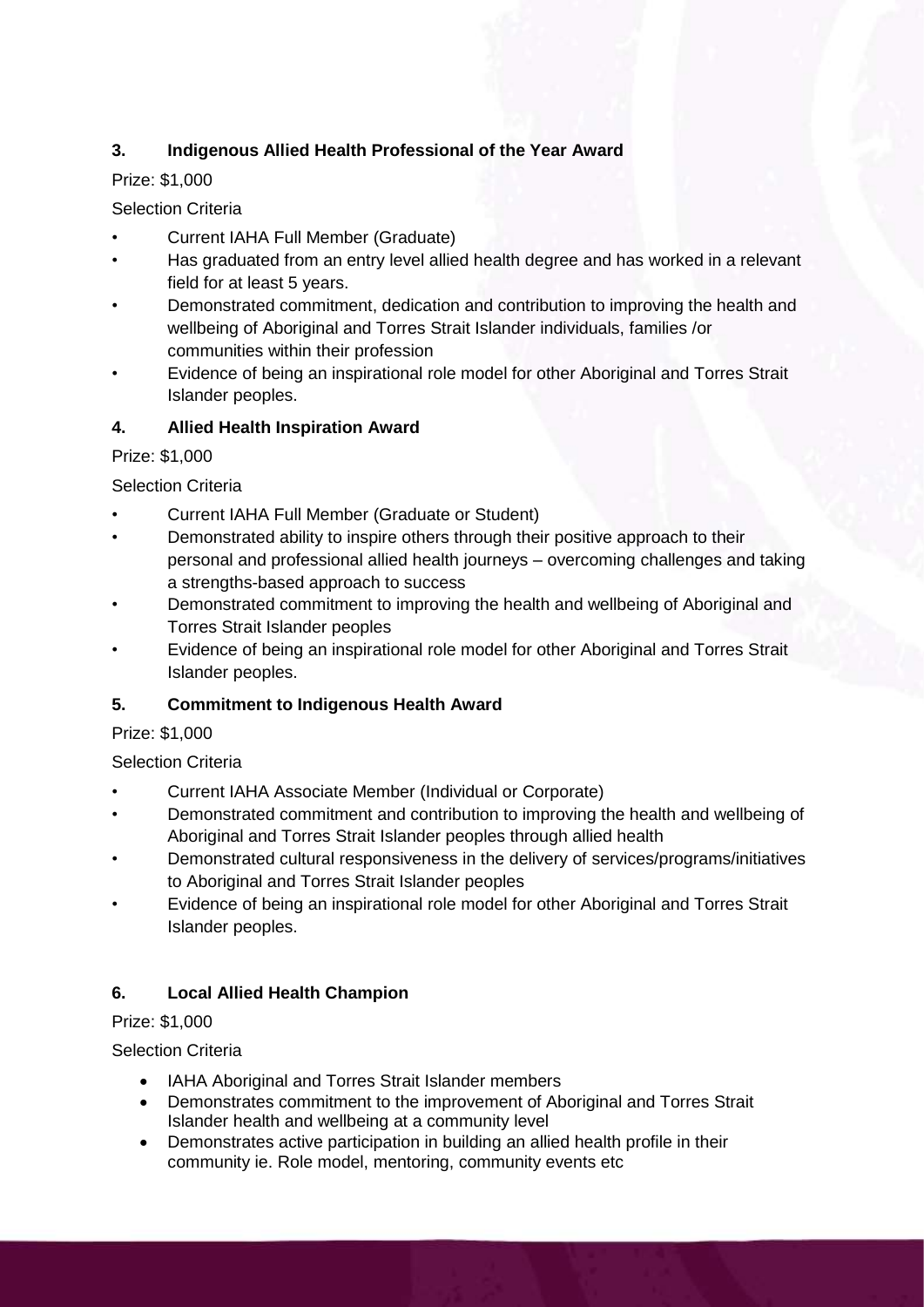# **3. Indigenous Allied Health Professional of the Year Award**

# Prize: \$1,000

# Selection Criteria

- Current IAHA Full Member (Graduate)
- Has graduated from an entry level allied health degree and has worked in a relevant field for at least 5 years.
- Demonstrated commitment, dedication and contribution to improving the health and wellbeing of Aboriginal and Torres Strait Islander individuals, families /or communities within their profession
- Evidence of being an inspirational role model for other Aboriginal and Torres Strait Islander peoples.

# **4. Allied Health Inspiration Award**

### Prize: \$1,000

Selection Criteria

- Current IAHA Full Member (Graduate or Student)
- Demonstrated ability to inspire others through their positive approach to their personal and professional allied health journeys – overcoming challenges and taking a strengths-based approach to success
- Demonstrated commitment to improving the health and wellbeing of Aboriginal and Torres Strait Islander peoples
- Evidence of being an inspirational role model for other Aboriginal and Torres Strait Islander peoples.

# **5. Commitment to Indigenous Health Award**

### Prize: \$1,000

### Selection Criteria

- Current IAHA Associate Member (Individual or Corporate)
- Demonstrated commitment and contribution to improving the health and wellbeing of Aboriginal and Torres Strait Islander peoples through allied health
- Demonstrated cultural responsiveness in the delivery of services/programs/initiatives to Aboriginal and Torres Strait Islander peoples
- Evidence of being an inspirational role model for other Aboriginal and Torres Strait Islander peoples.

# **6. Local Allied Health Champion**

### Prize: \$1,000

# Selection Criteria

- IAHA Aboriginal and Torres Strait Islander members
- Demonstrates commitment to the improvement of Aboriginal and Torres Strait Islander health and wellbeing at a community level
- Demonstrates active participation in building an allied health profile in their community ie. Role model, mentoring, community events etc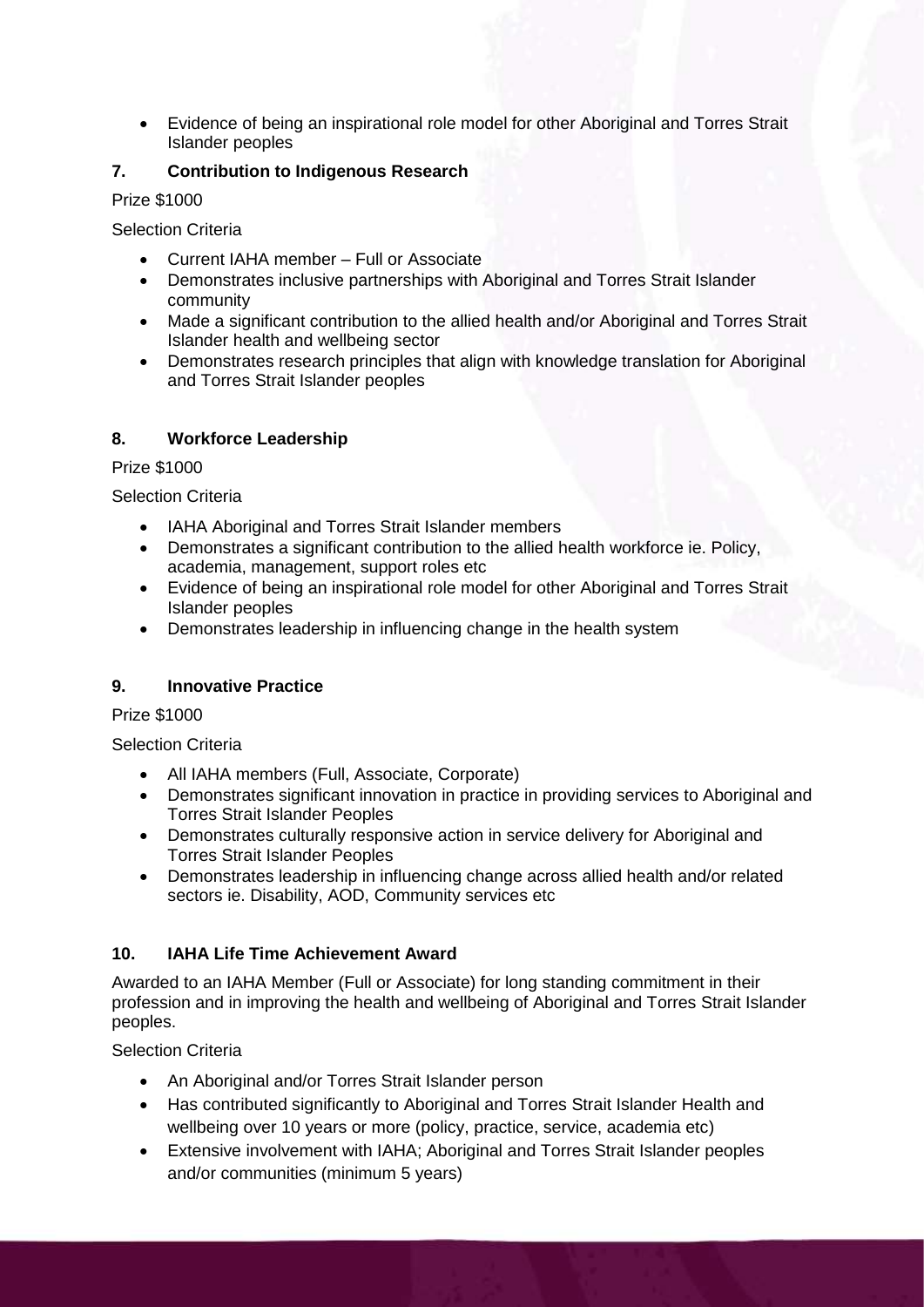• Evidence of being an inspirational role model for other Aboriginal and Torres Strait Islander peoples

### **7. Contribution to Indigenous Research**

Prize \$1000

Selection Criteria

- Current IAHA member Full or Associate
- Demonstrates inclusive partnerships with Aboriginal and Torres Strait Islander community
- Made a significant contribution to the allied health and/or Aboriginal and Torres Strait Islander health and wellbeing sector
- Demonstrates research principles that align with knowledge translation for Aboriginal and Torres Strait Islander peoples

### **8. Workforce Leadership**

Prize \$1000

Selection Criteria

- IAHA Aboriginal and Torres Strait Islander members
- Demonstrates a significant contribution to the allied health workforce ie. Policy, academia, management, support roles etc
- Evidence of being an inspirational role model for other Aboriginal and Torres Strait Islander peoples
- Demonstrates leadership in influencing change in the health system

### **9. Innovative Practice**

Prize \$1000

Selection Criteria

- All IAHA members (Full, Associate, Corporate)
- Demonstrates significant innovation in practice in providing services to Aboriginal and Torres Strait Islander Peoples
- Demonstrates culturally responsive action in service delivery for Aboriginal and Torres Strait Islander Peoples
- Demonstrates leadership in influencing change across allied health and/or related sectors ie. Disability, AOD, Community services etc

### **10. IAHA Life Time Achievement Award**

Awarded to an IAHA Member (Full or Associate) for long standing commitment in their profession and in improving the health and wellbeing of Aboriginal and Torres Strait Islander peoples.

Selection Criteria

- An Aboriginal and/or Torres Strait Islander person
- Has contributed significantly to Aboriginal and Torres Strait Islander Health and wellbeing over 10 years or more (policy, practice, service, academia etc)
- Extensive involvement with IAHA; Aboriginal and Torres Strait Islander peoples and/or communities (minimum 5 years)